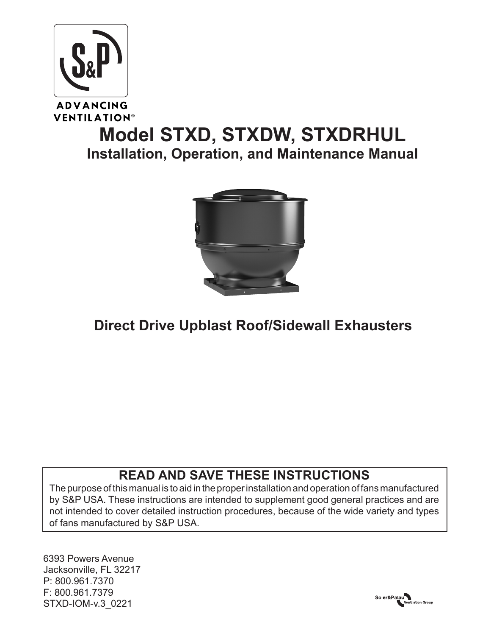

**VENTILATION®** 

# **Model STXD, STXDW, STXDRHUL Installation, Operation, and Maintenance Manual**



# **Direct Drive Upblast Roof/Sidewall Exhausters**

# **READ AND SAVE THESE INSTRUCTIONS**

The purpose of this manual is to aid in the proper installation and operation of fans manufactured by S&P USA. These instructions are intended to supplement good general practices and are not intended to cover detailed instruction procedures, because of the wide variety and types of fans manufactured by S&P USA.

6393 Powers Avenue Jacksonville, FL 32217 P: 800.961.7370 F: 800.961.7379 STXD-IOM-YO

Soler&Palau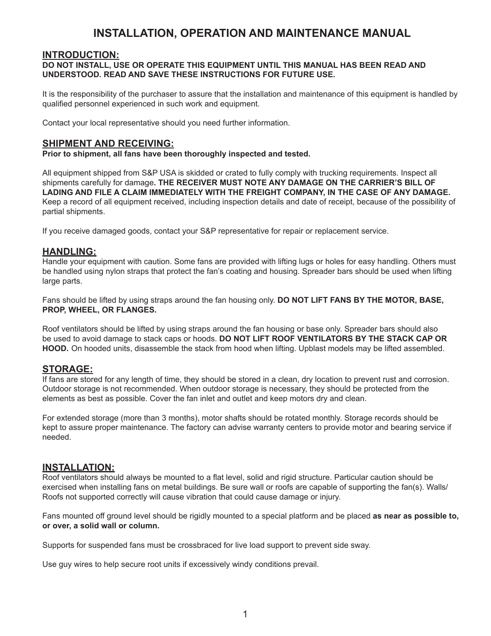# **INSTALLATION, OPERATION AND MAINTENANCE MANUAL**

### **INTRODUCTION:**

#### **DO NOT INSTALL, USE OR OPERATE THIS EQUIPMENT UNTIL THIS MANUAL HAS BEEN READ AND UNDERSTOOD. READ AND SAVE THESE INSTRUCTIONS FOR FUTURE USE.**

It is the responsibility of the purchaser to assure that the installation and maintenance of this equipment is handled by qualified personnel experienced in such work and equipment.

Contact your local representative should you need further information.

#### **SHIPMENT AND RECEIVING:**

**Prior to shipment, all fans have been thoroughly inspected and tested.**

All equipment shipped from S&P USA is skidded or crated to fully comply with trucking requirements. Inspect all shipments carefully for damage**. THE RECEIVER MUST NOTE ANY DAMAGE ON THE CARRIER'S BILL OF LADING AND FILE A CLAIM IMMEDIATELY WITH THE FREIGHT COMPANY, IN THE CASE OF ANY DAMAGE.**  Keep a record of all equipment received, including inspection details and date of receipt, because of the possibility of partial shipments.

If you receive damaged goods, contact your S&P representative for repair or replacement service.

### **HANDLING:**

Handle your equipment with caution. Some fans are provided with lifting lugs or holes for easy handling. Others must be handled using nylon straps that protect the fan's coating and housing. Spreader bars should be used when lifting large parts.

Fans should be lifted by using straps around the fan housing only. **DO NOT LIFT FANS BY THE MOTOR, BASE, PROP, WHEEL, OR FLANGES.**

Roof ventilators should be lifted by using straps around the fan housing or base only. Spreader bars should also be used to avoid damage to stack caps or hoods. **DO NOT LIFT ROOF VENTILATORS BY THE STACK CAP OR HOOD.** On hooded units, disassemble the stack from hood when lifting. Upblast models may be lifted assembled.

#### **STORAGE:**

If fans are stored for any length of time, they should be stored in a clean, dry location to prevent rust and corrosion. Outdoor storage is not recommended. When outdoor storage is necessary, they should be protected from the elements as best as possible. Cover the fan inlet and outlet and keep motors dry and clean.

For extended storage (more than 3 months), motor shafts should be rotated monthly. Storage records should be kept to assure proper maintenance. The factory can advise warranty centers to provide motor and bearing service if needed.

## **INSTALLATION:**

Roof ventilators should always be mounted to a flat level, solid and rigid structure. Particular caution should be exercised when installing fans on metal buildings. Be sure wall or roofs are capable of supporting the fan(s). Walls/ Roofs not supported correctly will cause vibration that could cause damage or injury.

Fans mounted off ground level should be rigidly mounted to a special platform and be placed **as near as possible to, or over, a solid wall or column.**

Supports for suspended fans must be crossbraced for live load support to prevent side sway.

Use guy wires to help secure root units if excessively windy conditions prevail.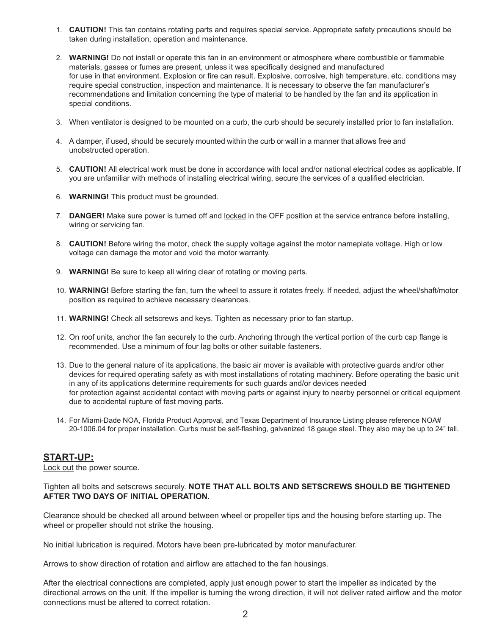- 1. **CAUTION!** This fan contains rotating parts and requires special service. Appropriate safety precautions should be taken during installation, operation and maintenance.
- 2. **WARNING!** Do not install or operate this fan in an environment or atmosphere where combustible or flammable materials, gasses or fumes are present, unless it was specifically designed and manufactured for use in that environment. Explosion or fire can result. Explosive, corrosive, high temperature, etc. conditions may require special construction, inspection and maintenance. It is necessary to observe the fan manufacturer's recommendations and limitation concerning the type of material to be handled by the fan and its application in special conditions.
- 3. When ventilator is designed to be mounted on a curb, the curb should be securely installed prior to fan installation.
- 4. A damper, if used, should be securely mounted within the curb or wall in a manner that allows free and unobstructed operation.
- 5. **CAUTION!** All electrical work must be done in accordance with local and/or national electrical codes as applicable. If you are unfamiliar with methods of installing electrical wiring, secure the services of a qualified electrician.
- 6. **WARNING!** This product must be grounded.
- 7. **DANGER!** Make sure power is turned off and locked in the OFF position at the service entrance before installing, wiring or servicing fan.
- 8. **CAUTION!** Before wiring the motor, check the supply voltage against the motor nameplate voltage. High or low voltage can damage the motor and void the motor warranty.
- 9. **WARNING!** Be sure to keep all wiring clear of rotating or moving parts.
- 10. **WARNING!** Before starting the fan, turn the wheel to assure it rotates freely. If needed, adjust the wheel/shaft/motor position as required to achieve necessary clearances.
- 11. **WARNING!** Check all setscrews and keys. Tighten as necessary prior to fan startup.
- 12. On roof units, anchor the fan securely to the curb. Anchoring through the vertical portion of the curb cap flange is recommended. Use a minimum of four lag bolts or other suitable fasteners.
- 13. Due to the general nature of its applications, the basic air mover is available with protective guards and/or other devices for required operating safety as with most installations of rotating machinery. Before operating the basic unit in any of its applications determine requirements for such guards and/or devices needed for protection against accidental contact with moving parts or against injury to nearby personnel or critical equipment due to accidental rupture of fast moving parts.
- 14. For Miami-Dade NOA, Florida Product Approval, and Texas Department of Insurance Listing please reference NOA# 20-1006.04 for proper installation. Curbs must be self-flashing, galvanized 18 gauge steel. They also may be up to 24" tall.

#### **START-UP:**

Lock out the power source.

#### Tighten all bolts and setscrews securely. **NOTE THAT ALL BOLTS AND SETSCREWS SHOULD BE TIGHTENED AFTER TWO DAYS OF INITIAL OPERATION.**

Clearance should be checked all around between wheel or propeller tips and the housing before starting up. The wheel or propeller should not strike the housing.

No initial lubrication is required. Motors have been pre-lubricated by motor manufacturer.

Arrows to show direction of rotation and airflow are attached to the fan housings.

After the electrical connections are completed, apply just enough power to start the impeller as indicated by the directional arrows on the unit. If the impeller is turning the wrong direction, it will not deliver rated airflow and the motor connections must be altered to correct rotation.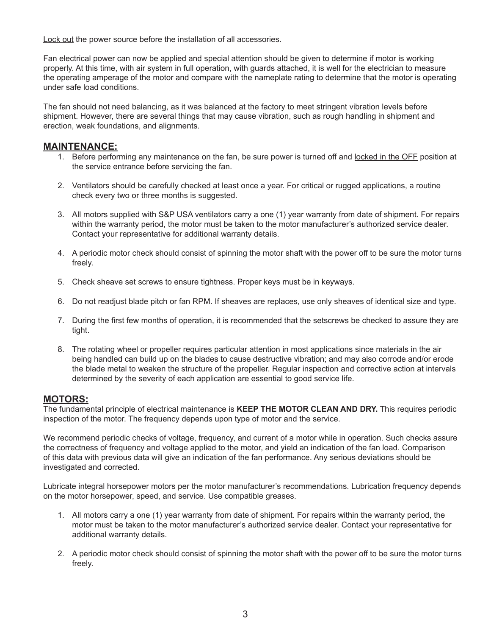Lock out the power source before the installation of all accessories.

Fan electrical power can now be applied and special attention should be given to determine if motor is working properly. At this time, with air system in full operation, with guards attached, it is well for the electrician to measure the operating amperage of the motor and compare with the nameplate rating to determine that the motor is operating under safe load conditions.

The fan should not need balancing, as it was balanced at the factory to meet stringent vibration levels before shipment. However, there are several things that may cause vibration, such as rough handling in shipment and erection, weak foundations, and alignments.

## **MAINTENANCE:**

- 1. Before performing any maintenance on the fan, be sure power is turned off and locked in the OFF position at the service entrance before servicing the fan.
- 2. Ventilators should be carefully checked at least once a year. For critical or rugged applications, a routine check every two or three months is suggested.
- 3. All motors supplied with S&P USA ventilators carry a one (1) year warranty from date of shipment. For repairs within the warranty period, the motor must be taken to the motor manufacturer's authorized service dealer. Contact your representative for additional warranty details.
- 4. A periodic motor check should consist of spinning the motor shaft with the power off to be sure the motor turns freely.
- 5. Check sheave set screws to ensure tightness. Proper keys must be in keyways.
- 6. Do not readjust blade pitch or fan RPM. If sheaves are replaces, use only sheaves of identical size and type.
- 7. During the first few months of operation, it is recommended that the setscrews be checked to assure they are tight.
- 8. The rotating wheel or propeller requires particular attention in most applications since materials in the air being handled can build up on the blades to cause destructive vibration; and may also corrode and/or erode the blade metal to weaken the structure of the propeller. Regular inspection and corrective action at intervals determined by the severity of each application are essential to good service life.

## **MOTORS:**

The fundamental principle of electrical maintenance is **KEEP THE MOTOR CLEAN AND DRY.** This requires periodic inspection of the motor. The frequency depends upon type of motor and the service.

We recommend periodic checks of voltage, frequency, and current of a motor while in operation. Such checks assure the correctness of frequency and voltage applied to the motor, and yield an indication of the fan load. Comparison of this data with previous data will give an indication of the fan performance. Any serious deviations should be investigated and corrected.

Lubricate integral horsepower motors per the motor manufacturer's recommendations. Lubrication frequency depends on the motor horsepower, speed, and service. Use compatible greases.

- 1. All motors carry a one (1) year warranty from date of shipment. For repairs within the warranty period, the motor must be taken to the motor manufacturer's authorized service dealer. Contact your representative for additional warranty details.
- 2. A periodic motor check should consist of spinning the motor shaft with the power off to be sure the motor turns freely.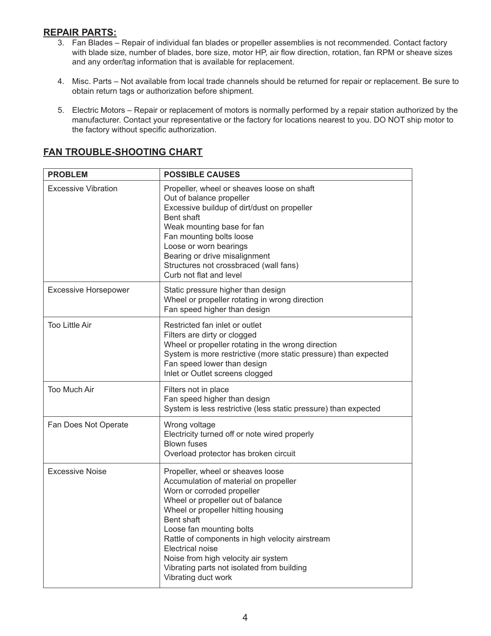# **REPAIR PARTS:**

- 3. Fan Blades Repair of individual fan blades or propeller assemblies is not recommended. Contact factory with blade size, number of blades, bore size, motor HP, air flow direction, rotation, fan RPM or sheave sizes and any order/tag information that is available for replacement.
- 4. Misc. Parts Not available from local trade channels should be returned for repair or replacement. Be sure to obtain return tags or authorization before shipment.
- 5. Electric Motors Repair or replacement of motors is normally performed by a repair station authorized by the manufacturer. Contact your representative or the factory for locations nearest to you. DO NOT ship motor to the factory without specific authorization.

| <b>PROBLEM</b>              | <b>POSSIBLE CAUSES</b>                                                                                                                                                                                                                                                                                                                                                                                                  |  |  |
|-----------------------------|-------------------------------------------------------------------------------------------------------------------------------------------------------------------------------------------------------------------------------------------------------------------------------------------------------------------------------------------------------------------------------------------------------------------------|--|--|
| <b>Excessive Vibration</b>  | Propeller, wheel or sheaves loose on shaft<br>Out of balance propeller<br>Excessive buildup of dirt/dust on propeller<br>Bent shaft<br>Weak mounting base for fan<br>Fan mounting bolts loose<br>Loose or worn bearings<br>Bearing or drive misalignment<br>Structures not crossbraced (wall fans)<br>Curb not flat and level                                                                                           |  |  |
| <b>Excessive Horsepower</b> | Static pressure higher than design<br>Wheel or propeller rotating in wrong direction<br>Fan speed higher than design                                                                                                                                                                                                                                                                                                    |  |  |
| Too Little Air              | Restricted fan inlet or outlet<br>Filters are dirty or clogged<br>Wheel or propeller rotating in the wrong direction<br>System is more restrictive (more static pressure) than expected<br>Fan speed lower than design<br>Inlet or Outlet screens clogged                                                                                                                                                               |  |  |
| <b>Too Much Air</b>         | Filters not in place<br>Fan speed higher than design<br>System is less restrictive (less static pressure) than expected                                                                                                                                                                                                                                                                                                 |  |  |
| Fan Does Not Operate        | Wrong voltage<br>Electricity turned off or note wired properly<br><b>Blown fuses</b><br>Overload protector has broken circuit                                                                                                                                                                                                                                                                                           |  |  |
| <b>Excessive Noise</b>      | Propeller, wheel or sheaves loose<br>Accumulation of material on propeller<br>Worn or corroded propeller<br>Wheel or propeller out of balance<br>Wheel or propeller hitting housing<br>Bent shaft<br>Loose fan mounting bolts<br>Rattle of components in high velocity airstream<br><b>Electrical noise</b><br>Noise from high velocity air system<br>Vibrating parts not isolated from building<br>Vibrating duct work |  |  |

# **FAN TROUBLE-SHOOTING CHART**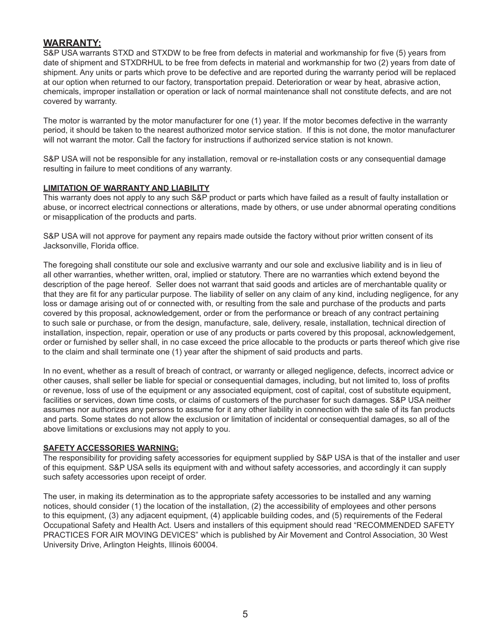## **WARRANTY:**

S&P USA warrants STXD and STXDW to be free from defects in material and workmanship for five (5) years from date of shipment and STXDRHUL to be free from defects in material and workmanship for two (2) years from date of shipment. Any units or parts which prove to be defective and are reported during the warranty period will be replaced at our option when returned to our factory, transportation prepaid. Deterioration or wear by heat, abrasive action, chemicals, improper installation or operation or lack of normal maintenance shall not constitute defects, and are not covered by warranty.

The motor is warranted by the motor manufacturer for one (1) year. If the motor becomes defective in the warranty period, it should be taken to the nearest authorized motor service station. If this is not done, the motor manufacturer will not warrant the motor. Call the factory for instructions if authorized service station is not known.

S&P USA will not be responsible for any installation, removal or re-installation costs or any consequential damage resulting in failure to meet conditions of any warranty.

#### **LIMITATION OF WARRANTY AND LIABILITY**

This warranty does not apply to any such S&P product or parts which have failed as a result of faulty installation or abuse, or incorrect electrical connections or alterations, made by others, or use under abnormal operating conditions or misapplication of the products and parts.

S&P USA will not approve for payment any repairs made outside the factory without prior written consent of its Jacksonville, Florida office.

The foregoing shall constitute our sole and exclusive warranty and our sole and exclusive liability and is in lieu of all other warranties, whether written, oral, implied or statutory. There are no warranties which extend beyond the description of the page hereof. Seller does not warrant that said goods and articles are of merchantable quality or that they are fit for any particular purpose. The liability of seller on any claim of any kind, including negligence, for any loss or damage arising out of or connected with, or resulting from the sale and purchase of the products and parts covered by this proposal, acknowledgement, order or from the performance or breach of any contract pertaining to such sale or purchase, or from the design, manufacture, sale, delivery, resale, installation, technical direction of installation, inspection, repair, operation or use of any products or parts covered by this proposal, acknowledgement, order or furnished by seller shall, in no case exceed the price allocable to the products or parts thereof which give rise to the claim and shall terminate one (1) year after the shipment of said products and parts.

In no event, whether as a result of breach of contract, or warranty or alleged negligence, defects, incorrect advice or other causes, shall seller be liable for special or consequential damages, including, but not limited to, loss of profits or revenue, loss of use of the equipment or any associated equipment, cost of capital, cost of substitute equipment, facilities or services, down time costs, or claims of customers of the purchaser for such damages. S&P USA neither assumes nor authorizes any persons to assume for it any other liability in connection with the sale of its fan products and parts. Some states do not allow the exclusion or limitation of incidental or consequential damages, so all of the above limitations or exclusions may not apply to you.

#### **SAFETY ACCESSORIES WARNING:**

The responsibility for providing safety accessories for equipment supplied by S&P USA is that of the installer and user of this equipment. S&P USA sells its equipment with and without safety accessories, and accordingly it can supply such safety accessories upon receipt of order.

The user, in making its determination as to the appropriate safety accessories to be installed and any warning notices, should consider (1) the location of the installation, (2) the accessibility of employees and other persons to this equipment, (3) any adjacent equipment, (4) applicable building codes, and (5) requirements of the Federal Occupational Safety and Health Act. Users and installers of this equipment should read "RECOMMENDED SAFETY PRACTICES FOR AIR MOVING DEVICES" which is published by Air Movement and Control Association, 30 West University Drive, Arlington Heights, Illinois 60004.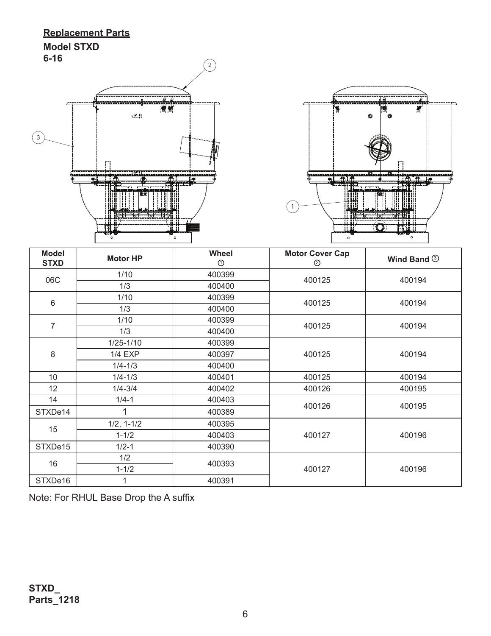# **Replacement Parts Model STXD 6-16**





| <b>Model</b><br><b>STXD</b> | <b>Motor HP</b> | <b>Wheel</b><br>$\odot$ | <b>Motor Cover Cap</b><br>② | Wind Band <sup>3</sup> |  |
|-----------------------------|-----------------|-------------------------|-----------------------------|------------------------|--|
| 06C                         | 1/10            | 400399                  | 400125                      | 400194                 |  |
|                             | 1/3             | 400400                  |                             |                        |  |
| $\,6\,$                     | 1/10            | 400399                  | 400125                      | 400194                 |  |
|                             | 1/3             | 400400                  |                             |                        |  |
| $\overline{7}$              | 1/10            | 400399                  | 400125                      | 400194                 |  |
|                             | 1/3             | 400400                  |                             |                        |  |
| 8                           | $1/25 - 1/10$   | 400399                  | 400125                      | 400194                 |  |
|                             | <b>1/4 EXP</b>  | 400397                  |                             |                        |  |
|                             | $1/4 - 1/3$     | 400400                  |                             |                        |  |
| 10 <sup>°</sup>             | $1/4 - 1/3$     | 400401                  | 400125                      | 400194                 |  |
| 12                          | $1/4 - 3/4$     | 400402                  | 400126                      | 400195                 |  |
| 14                          | $1/4 - 1$       | 400403                  | 400126                      | 400195                 |  |
| STXDe14                     |                 | 400389                  |                             |                        |  |
| 15                          | $1/2, 1-1/2$    | 400395                  | 400127                      | 400196                 |  |
|                             | $1 - 1/2$       | 400403                  |                             |                        |  |
| STXDe15                     | $1/2 - 1$       | 400390                  |                             |                        |  |
| 16                          | 1/2             | 400393                  |                             |                        |  |
|                             | $1 - 1/2$       |                         | 400127                      | 400196                 |  |
| STXDe16                     | 1               | 400391                  |                             |                        |  |

Note: For RHUL Base Drop the A suffix